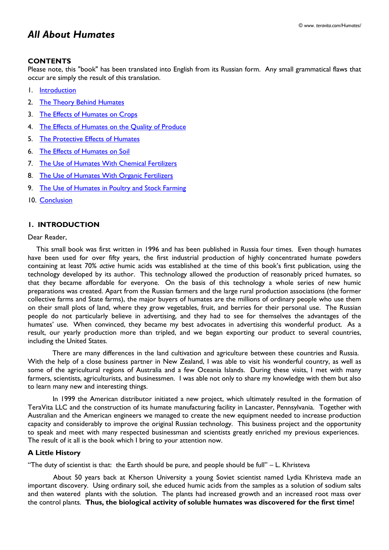# *All About Humates*

# **CONTENTS**

Please note, this "book" has been translated into English from its Russian form. Any small grammatical flaws that occur are simply the result of this translation.

- 1. [Introduction](http://www.teravita.com/Humates/Chapter1.htm)
- 2. [The Theory Behind Humates](http://www.teravita.com/Humates/Chapter2.htm)
- 3. [The Effects of Humates on Crops](http://www.teravita.com/Humates/Chapter3.htm)
- 4. [The Effects of Humates on the Quality of Produce](http://www.teravita.com/Humates/Chapter4.htm)
- 5. [The Protective Effects of Humates](http://www.teravita.com/Humates/Chapter5.htm)
- 6. [The Effects of Humates on Soil](http://www.teravita.com/Humates/Chapter6.htm)
- 7. [The Use of Humates With Chemical Fertilizers](http://www.teravita.com/Humates/Chapter7.htm)
- 8. [The Use of Humates With Organic Fertilizers](http://www.teravita.com/Humates/Chapter8.htm)
- 9. [The Use of Humates in Poultry and Stock Farming](http://www.teravita.com/Humates/Chapter9.htm)
- 10. [Conclusion](http://www.teravita.com/Humates/Chapter10.htm)

# **1. INTRODUCTION**

### Dear Reader,

 This small book was first written in 1996 and has been published in Russia four times. Even though humates have been used for over fifty years, the first industrial production of highly concentrated humate powders containing at least 70% *active* humic acids was established at the time of this book's first publication, using the technology developed by its author. This technology allowed the production of reasonably priced humates, so that they became affordable for everyone. On the basis of this technology a whole series of new humic preparations was created. Apart from the Russian farmers and the large rural production associations (the former collective farms and State farms), the major buyers of humates are the millions of ordinary people who use them on their small plots of land, where they grow vegetables, fruit, and berries for their personal use. The Russian people do not particularly believe in advertising, and they had to see for themselves the advantages of the humates' use. When convinced, they became my best advocates in advertising this wonderful product. As a result, our yearly production more than tripled, and we began exporting our product to several countries, including the United States.

 There are many differences in the land cultivation and agriculture between these countries and Russia. With the help of a close business partner in New Zealand, I was able to visit his wonderful country, as well as some of the agricultural regions of Australia and a few Oceania Islands. During these visits, I met with many farmers, scientists, agriculturists, and businessmen. I was able not only to share my knowledge with them but also to learn many new and interesting things.

In 1999 the American distributor initiated a new project, which ultimately resulted in the formation of TeraVita LLC and the construction of its humate manufacturing facility in Lancaster, Pennsylvania. Together with Australian and the American engineers we managed to create the new equipment needed to increase production capacity and considerably to improve the original Russian technology. This business project and the opportunity to speak and meet with many respected businessman and scientists greatly enriched my previous experiences. The result of it all is the book which I bring to your attention now.

### **A Little History**

"The duty of scientist is that: the Earth should be pure, and people should be full" – L. Khristeva

 About 50 years back at Kherson University a young Soviet scientist named Lydia Khristeva made an important discovery. Using ordinary soil, she educed humic acids from the samples as a solution of sodium salts and then watered plants with the solution. The plants had increased growth and an increased root mass over the control plants. **Thus, the biological activity of soluble humates was discovered for the first time!**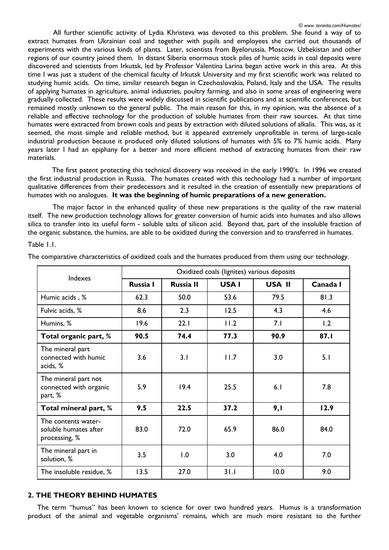All further scientific activity of Lydia Khristeva was devoted to this problem. She found a way of to extract humates from Ukrainian coal and together with pupils and employees she carried out thousands of experiments with the various kinds of plants. Later, scientists from Byelorussia, Moscow, Uzbekistan and other regions of our country joined them. In distant Siberia enormous stock piles of humic acids in coal deposits were discovered and scientists from Irkutsk, led by Professor Valentina Larina began active work in this area. At this time I was just a student of the chemical faculty of Irkutsk University and my first scientific work was related to studying humic acids. On time, similar research began in Czechoslovakia, Poland, Italy and the USA. The results of applying humates in agriculture, animal industries, poultry farming, and also in some areas of engineering were gradually collected. These results were widely discussed in scientific publications and at scientific conferences, but remained mostly unknown to the general public. The main reason for this, in my opinion, was the absence of a reliable and effective technology for the production of soluble humates from their raw sources. At that time humates were extracted from brown coals and peats by extraction with diluted solutions of alkalis. This was, as it seemed, the most simple and reliable method, but it appeared extremely unprofitable in terms of large-scale industrial production because it produced only diluted solutions of humates with 5% to 7% humic acids. Many years later I had an epiphany for a better and more efficient method of extracting humates from their raw materials.

The first patent protecting this technical discovery was received in the early 1990's. In 1996 we created the first industrial production in Russia. The humates created with this technology had a number of important qualitative differences from their predecessors and it resulted in the creation of essentially new preparations of humates with no analogues. **It was the beginning of humic preparations of a new generation.**

 The major factor in the enhanced quality of these new preparations is the quality of the raw material itself. The new production technology allows for greater conversion of humic acids into humates and also allows silica to transfer into its useful form - soluble salts of silicon acid. Beyond that, part of the insoluble fraction of the organic substance, the humins, are able to be oxidized during the conversion and to transferred in humates.

Table 1.1.

| Indexes                                                       | Oxidized coals (lignites) various deposits |                  |       |        |          |  |
|---------------------------------------------------------------|--------------------------------------------|------------------|-------|--------|----------|--|
|                                                               | Russia I                                   | <b>Russia II</b> | USA I | USA II | Canada I |  |
| Humic acids, %                                                | 62.3                                       | 50.0             | 53.6  | 79.5   | 81.3     |  |
| Fulvic acids, %                                               | 8.6                                        | 2.3              | 12.5  | 4.3    | 4.6      |  |
| Humins, %                                                     | 19.6                                       | 22.1             | 11.2  | 7.1    | 1.2      |  |
| Total organic part, %                                         | 90.5                                       | 74.4             | 77.3  | 90.9   | 87.I     |  |
| The mineral part<br>connected with humic<br>acids, %          | 3.6                                        | 3.1              | 11.7  | 3.0    | 5.1      |  |
| The mineral part not<br>connected with organic<br>part, %     | 5.9                                        | 19.4             | 25.5  | 6.1    | 7.8      |  |
| Total mineral part, %                                         | 9.5                                        | 22.5             | 37.2  | 9,1    | 12.9     |  |
| The contents water-<br>soluble humates after<br>processing, % | 83.0                                       | 72.0             | 65.9  | 86.0   | 84.0     |  |
| The mineral part in<br>solution, %                            | 3.5                                        | 1.0              | 3.0   | 4.0    | 7.0      |  |
| The insoluble residue, %                                      | 13.5                                       | 27.0             | 31.1  | 10.0   | 9.0      |  |

The comparative characteristics of oxidized coals and the humates produced from them using our technology.

### **2. THE THEORY BEHIND HUMATES**

 The term "humus" has been known to science for over two hundred years. Humus is a transformation product of the animal and vegetable organisms' remains, which are much more resistant to the further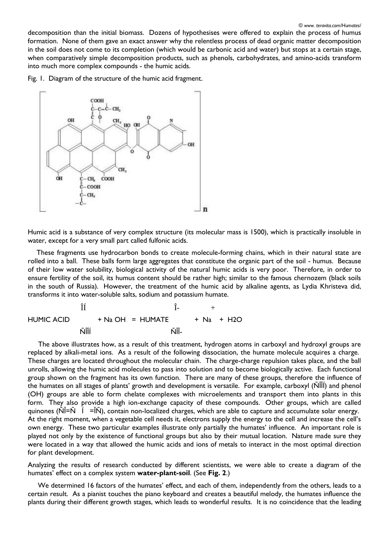decomposition than the initial biomass. Dozens of hypothesises were offered to explain the process of humus formation. None of them gave an exact answer why the relentless process of dead organic matter decomposition in the soil does not come to its completion (which would be carbonic acid and water) but stops at a certain stage, when comparatively simple decomposition products, such as phenols, carbohydrates, and amino-acids transform into much more complex compounds - the humic acids.

Fig. 1. Diagram of the structure of the humic acid fragment.



Humic acid is a substance of very complex structure (its molecular mass is 1500), which is practically insoluble in water, except for a very small part called fulfonic acids.

 These fragments use hydrocarbon bonds to create molecule-forming chains, which in their natural state are rolled into a ball. These balls form large aggregates that constitute the organic part of the soil - humus. Because of their low water solubility, biological activity of the natural humic acids is very poor. Therefore, in order to ensure fertility of the soil, its humus content should be rather high; similar to the famous chernozem (black soils in the south of Russia). However, the treatment of the humic acid by alkaline agents, as Lydia Khristeva did, transforms it into water-soluble salts, sodium and potassium humate.

 $\hat{\mathbf{I}}$  +  $HUMIC ACID + Na OH = HUMATE + Na + H2O$ n na shekarar Nîlî din wekî di navçeya Nîlî û Ser Aliyê û Ser Aliyê din wekî di navçeya Nîlî û Ser Aliyê din k

 The above illustrates how, as a result of this treatment, hydrogen atoms in carboxyl and hydroxyl groups are replaced by alkali-metal ions. As a result of the following dissociation, the humate molecule acquires a charge. These charges are located throughout the molecular chain. The charge-charge repulsion takes place, and the ball unrolls, allowing the humic acid molecules to pass into solution and to become biologically active. Each functional group shown on the fragment has its own function. There are many of these groups, therefore the influence of the humates on all stages of plants' growth and development is versatile. For example, carboxyl (ÑÎÎÍ) and phenol (OH) groups are able to form chelate complexes with microelements and transport them into plants in this form. They also provide a high ion-exchange capacity of these compounds. Other groups, which are called quinones ( $\tilde{N}$ Î=Ñ Í =ÎÑ), contain non-localized charges, which are able to capture and accumulate solar energy. At the right moment, when a vegetable cell needs it, electrons supply the energy to the cell and increase the cell's own energy. These two particular examples illustrate only partially the humates' influence. An important role is played not only by the existence of functional groups but also by their mutual location. Nature made sure they were located in a way that allowed the humic acids and ions of metals to interact in the most optimal direction for plant development.

Analyzing the results of research conducted by different scientists, we were able to create a diagram of the humates' effect on a complex system **water-plant-soil**. (See **Fig. 2**.)

 We determined 16 factors of the humates' effect, and each of them, independently from the others, leads to a certain result. As a pianist touches the piano keyboard and creates a beautiful melody, the humates influence the plants during their different growth stages, which leads to wonderful results. It is no coincidence that the leading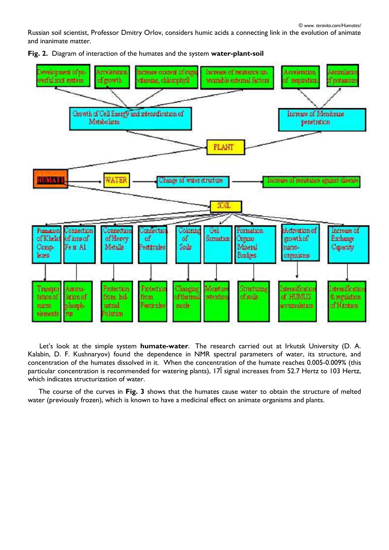*© www. teravita.com/Humates/*

Russian soil scientist, Professor Dmitry Orlov, considers humic acids a connecting link in the evolution of animate and inanimate matter.

Increase of residence un-Development of no-Alcowlerssiem harmes content of ma Acceleration Australiens went all acted strates to demay, chlorophyll womable external factors. **Thornami** ni growth if majuruhun Growth of Cell Energy and intensification of Increase of Membrane Metabolism penetration PLANT VATE **HUMLATI** Change of water structure increase of resultance against disease **SOIL** Activation of increase of Fomation Connection **Formation** Jonnection cnhectic Coloniae Gel Exchange of Khelat of Hervy of inns of αf σſ formation **Carano** growth of Fe # Al Comp-Metalls Pestitories Solls Mineral mac10-**Capacity Bridges** leases organisms Montun Changing intensification Transpor Amm Friedin Friedra Structuring hesification fiom hdof the mod reteation of some **OF HUDALIS E** sergisfion tatgen of laxin of from of Namon phosphustnal Protective mode entimoletina **TIGCTO** mm **citution** elements

**Fig. 2.** Diagram of interaction of the humates and the system **water-plant-soil**

 Let's look at the simple system **humate-water**. The research carried out at Irkutsk University (D. A. Kalabin, D. F. Kushnaryov) found the dependence in NMR spectral parameters of water, its structure, and concentration of the humates dissolved in it. When the concentration of the humate reaches 0.005-0.009% (this particular concentration is recommended for watering plants), 17Î signal increases from 52.7 Hertz to 103 Hertz, which indicates structurization of water.

 The course of the curves in **Fig. 3** shows that the humates cause water to obtain the structure of melted water (previously frozen), which is known to have a medicinal effect on animate organisms and plants.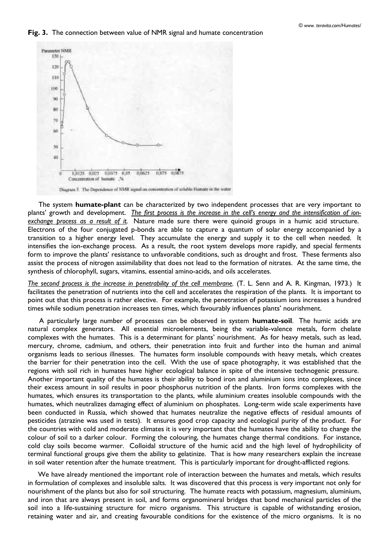#### **Fig. 3.** The connection between value of NMR signal and humate concentration



 The system **humate-plant** can be characterized by two independent processes that are very important to plants' growth and development. *The first process is the increase in the cell's energy and the intensification of ionexchange process as a result of it.* Nature made sure there were quinoid groups in a humic acid structure. Electrons of the four conjugated p-bonds are able to capture a quantum of solar energy accompanied by a transition to a higher energy level. They accumulate the energy and supply it to the cell when needed. It intensifies the ion-exchange process. As a result, the root system develops more rapidly, and special ferments form to improve the plants' resistance to unfavorable conditions, such as drought and frost. These ferments also assist the process of nitrogen assimilability that does not lead to the formation of nitrates. At the same time, the synthesis of chlorophyll, sugars, vitamins, essential amino-acids, and oils accelerates.

*The second process is the increase in penetrability of the cell membrane.* (T. L. Senn and A. R. Kingman, 1973.) It facilitates the penetration of nutrients into the cell and accelerates the respiration of the plants. It is important to point out that this process is rather elective. For example, the penetration of potassium ions increases a hundred times while sodium penetration increases ten times, which favourably influences plants' nourishment.

 A particularly large number of processes can be observed in system **humate-soil**. The humic acids are natural complex generators. All essential microelements, being the variable-valence metals, form chelate complexes with the humates. This is a determinant for plants' nourishment. As for heavy metals, such as lead, mercury, chrome, cadmium, and others, their penetration into fruit and further into the human and animal organisms leads to serious illnesses. The humates form insoluble compounds with heavy metals, which creates the barrier for their penetration into the cell. With the use of space photography, it was established that the regions with soil rich in humates have higher ecological balance in spite of the intensive technogenic pressure. Another important quality of the humates is their ability to bond iron and aluminium ions into complexes, since their excess amount in soil results in poor phosphorus nutrition of the plants. Iron forms complexes with the humates, which ensures its transportation to the plants, while aluminium creates insoluble compounds with the humates, which neutralizes damaging effect of aluminium on phosphates. Long-term wide scale experiments have been conducted in Russia, which showed that humates neutralize the negative effects of residual amounts of pesticides (atrazine was used in tests). It ensures good crop capacity and ecological purity of the product. For the countries with cold and moderate climates it is very important that the humates have the ability to change the colour of soil to a darker colour. Forming the colouring, the humates change thermal conditions. For instance, cold clay soils become warmer. Colloidal structure of the humic acid and the high level of hydrophilicity of terminal functional groups give them the ability to gelatinize. That is how many researchers explain the increase in soil water retention after the humate treatment. This is particularly important for drought-afflicted regions.

 We have already mentioned the important role of interaction between the humates and metals, which results in formulation of complexes and insoluble salts. It was discovered that this process is very important not only for nourishment of the plants but also for soil structuring. The humate reacts with potassium, magnesium, aluminium, and iron that are always present in soil, and forms organomineral bridges that bond mechanical particles of the soil into a life-sustaining structure for micro organisms. This structure is capable of withstanding erosion, retaining water and air, and creating favourable conditions for the existence of the micro organisms. It is no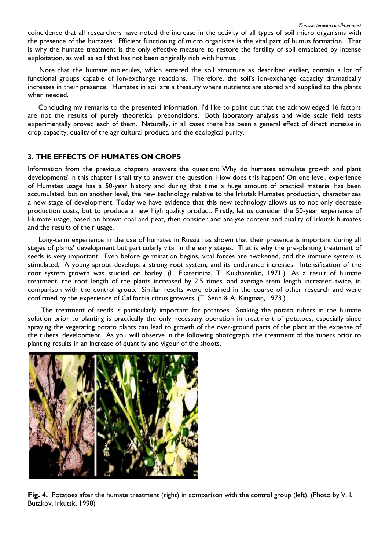coincidence that all researchers have noted the increase in the activity of all types of soil micro organisms with the presence of the humates. Efficient functioning of micro organisms is the vital part of humus formation. That is why the humate treatment is the only effective measure to restore the fertility of soil emaciated by intense exploitation, as well as soil that has not been originally rich with humus.

 Note that the humate molecules, which entered the soil structure as described earlier, contain a lot of functional groups capable of ion-exchange reactions. Therefore, the soil's ion-exchange capacity dramatically increases in their presence. Humates in soil are a treasury where nutrients are stored and supplied to the plants when needed.

 Concluding my remarks to the presented information, I'd like to point out that the acknowledged 16 factors are not the results of purely theoretical preconditions. Both laboratory analysis and wide scale field tests experimentally proved each of them. Naturally, in all cases there has been a general effect of direct increase in crop capacity, quality of the agricultural product, and the ecological purity.

# **3. THE EFFECTS OF HUMATES ON CROPS**

Information from the previous chapters answers the question: Why do humates stimulate growth and plant development? In this chapter I shall try to answer the question: How does this happen? On one level, experience of Humates usage has a 50-year history and during that time a huge amount of practical material has been accumulated, but on another level, the new technology relative to the Irkutsk Humates production, characterizes a new stage of development. Today we have evidence that this new technology allows us to not only decrease production costs, but to produce a new high quality product. Firstly, let us consider the 50-year experience of Humate usage, based on brown coal and peat, then consider and analyse content and quality of Irkutsk humates and the results of their usage.

 Long-term experience in the use of humates in Russia has shown that their presence is important during all stages of plants' development but particularly vital in the early stages. That is why the pre-planting treatment of seeds is very important. Even before germination begins, vital forces are awakened, and the immune system is stimulated. A young sprout develops a strong root system, and its endurance increases. Intensification of the root system growth was studied on barley. (L. Ekaterinina, T. Kukharenko, 1971.) As a result of humate treatment, the root length of the plants increased by 2.5 times, and average stem length increased twice, in comparison with the control group. Similar results were obtained in the course of other research and were confirmed by the experience of California citrus growers. (T. Senn & A. Kingman, 1973.)

 The treatment of seeds is particularly important for potatoes. Soaking the potato tubers in the humate solution prior to planting is practically the only necessary operation in treatment of potatoes, especially since spraying the vegetating potato plants can lead to growth of the over-ground parts of the plant at the expense of the tubers' development. As you will observe in the following photograph, the treatment of the tubers prior to planting results in an increase of quantity and vigour of the shoots.



**Fig. 4.** Potatoes after the humate treatment (right) in comparison with the control group (left). (Photo by V. I. Butakov, Irkutsk, 1998)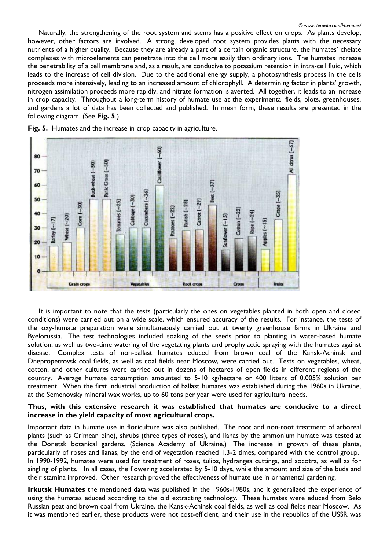Naturally, the strengthening of the root system and stems has a positive effect on crops. As plants develop, however, other factors are involved. A strong, developed root system provides plants with the necessary nutrients of a higher quality. Because they are already a part of a certain organic structure, the humates' chelate complexes with microelements can penetrate into the cell more easily than ordinary ions. The humates increase the penetrability of a cell membrane and, as a result, are conducive to potassium retention in intra-cell fluid, which leads to the increase of cell division. Due to the additional energy supply, a photosynthesis process in the cells proceeds more intensively, leading to an increased amount of chlorophyll. A determining factor in plants' growth, nitrogen assimilation proceeds more rapidly, and nitrate formation is averted. All together, it leads to an increase in crop capacity. Throughout a long-term history of humate use at the experimental fields, plots, greenhouses, and gardens a lot of data has been collected and published. In mean form, these results are presented in the following diagram. (See **Fig. 5**.)



**Fig. 5.** Humates and the increase in crop capacity in agriculture.

 It is important to note that the tests (particularly the ones on vegetables planted in both open and closed conditions) were carried out on a wide scale, which ensured accuracy of the results. For instance, the tests of the oxy-humate preparation were simultaneously carried out at twenty greenhouse farms in Ukraine and Byelorussia. The test technologies included soaking of the seeds prior to planting in water-based humate solution, as well as two-time watering of the vegetating plants and prophylactic spraying with the humates against disease. Complex tests of non-ballast humates educed from brown coal of the Kansk-Achinsk and Dnepropetrovsk coal fields, as well as coal fields near Moscow, were carried out. Tests on vegetables, wheat, cotton, and other cultures were carried out in dozens of hectares of open fields in different regions of the country. Average humate consumption amounted to 5-10 kg/hectare or 400 litters of 0.005% solution per treatment. When the first industrial production of ballast humates was established during the 1960s in Ukraine, at the Semenovsky mineral wax works, up to 60 tons per year were used for agricultural needs.

### **Thus, with this extensive research it was established that humates are conducive to a direct increase in the yield capacity of most agricultural crops.**

Important data in humate use in floriculture was also published. The root and non-root treatment of arboreal plants (such as Crimean pine), shrubs (three types of roses), and lianas by the ammonium humate was tested at the Donetsk botanical gardens. (Science Academy of Ukraine.) The increase in growth of these plants, particularly of roses and lianas, by the end of vegetation reached 1.3-2 times, compared with the control group. In 1990-1992, humates were used for treatment of roses, tulips, hydrangea cuttings, and socotra, as well as for singling of plants. In all cases, the flowering accelerated by 5-10 days, while the amount and size of the buds and their stamina improved. Other research proved the effectiveness of humate use in ornamental gardening.

**Irkutsk Humates** the mentioned data was published in the 1960s-1980s, and it generalized the experience of using the humates educed according to the old extracting technology. These humates were educed from Belo Russian peat and brown coal from Ukraine, the Kansk-Achinsk coal fields, as well as coal fields near Moscow. As it was mentioned earlier, these products were not cost-efficient, and their use in the republics of the USSR was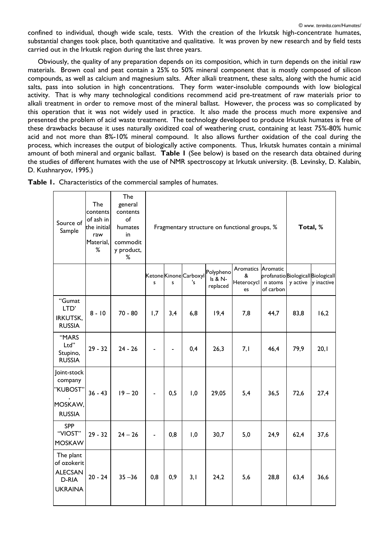confined to individual, though wide scale, tests. With the creation of the Irkutsk high-concentrate humates, substantial changes took place, both quantitative and qualitative. It was proven by new research and by field tests carried out in the Irkutsk region during the last three years.

 Obviously, the quality of any preparation depends on its composition, which in turn depends on the initial raw materials. Brown coal and peat contain a 25% to 50% mineral component that is mostly composed of silicon compounds, as well as calcium and magnesium salts. After alkali treatment, these salts, along with the humic acid salts, pass into solution in high concentrations. They form water-insoluble compounds with low biological activity. That is why many technological conditions recommend acid pre-treatment of raw materials prior to alkali treatment in order to remove most of the mineral ballast. However, the process was so complicated by this operation that it was not widely used in practice. It also made the process much more expensive and presented the problem of acid waste treatment. The technology developed to produce Irkutsk humates is free of these drawbacks because it uses naturally oxidized coal of weathering crust, containing at least 75%-80% humic acid and not more than 8%-10% mineral compound. It also allows further oxidation of the coal during the process, which increases the output of biologically active components. Thus, Irkutsk humates contain a minimal amount of both mineral and organic ballast. **Table 1** (See below) is based on the research data obtained during the studies of different humates with the use of NMR spectroscopy at Irkutsk university. (B. Levinsky, D. Kalabin, D. Kushnaryov, 1995.)

| Source of<br>Sample                                                   | The<br>contents<br>of ash in<br>the initial<br>raw<br>Material,<br>% | The<br>general<br>contents<br>of<br>humates<br>in<br>commodit<br>y product,<br>% |     | Fragmentary structure on functional groups, % |     |                                              |                                             |                                                          |      | Total, %            |
|-----------------------------------------------------------------------|----------------------------------------------------------------------|----------------------------------------------------------------------------------|-----|-----------------------------------------------|-----|----------------------------------------------|---------------------------------------------|----------------------------------------------------------|------|---------------------|
|                                                                       |                                                                      |                                                                                  | s   | s                                             | 's  | Ketone Kinone Carboxyl Polypheno<br>replaced | Aromatics Aromatic<br>&<br>Heterocycl<br>es | profanatioBiologicallBiologicall<br>n atoms<br>of carbon |      | y active y inactive |
| "Gumat<br>LTD'<br><b>IRKUTSK,</b><br><b>RUSSIA</b>                    | $8 - 10$                                                             | $70 - 80$                                                                        | 1,7 | 3,4                                           | 6,8 | 19,4                                         | 7,8                                         | 44,7                                                     | 83,8 | 16,2                |
| "MARS<br>Ltd"<br>Stupino,<br><b>RUSSIA</b>                            | $29 - 32$                                                            | $24 - 26$                                                                        |     |                                               | 0,4 | 26,3                                         | 7,1                                         | 46,4                                                     | 79,9 | 20,1                |
| Joint-stock<br>company<br>"KUBOST"<br>MOSKAW,<br><b>RUSSIA</b>        | $36 - 43$                                                            | $19 - 20$                                                                        |     | 0,5                                           | 1,0 | 29,05                                        | 5,4                                         | 36,5                                                     | 72,6 | 27,4                |
| <b>SPP</b><br>"VIOST"<br><b>MOSKAW</b>                                | $29 - 32$                                                            | $24 - 26$                                                                        |     | 0,8                                           | 1,0 | 30,7                                         | 5,0                                         | 24,9                                                     | 62,4 | 37,6                |
| The plant<br>of ozokerit<br><b>ALECSAN</b><br>D-RIA<br><b>UKRAINA</b> | $20 - 24$                                                            | $35 - 36$                                                                        | 0,8 | 0,9                                           | 3,1 | 24,2                                         | 5,6                                         | 28,8                                                     | 63,4 | 36,6                |

**Table 1.** Characteristics of the commercial samples of humates.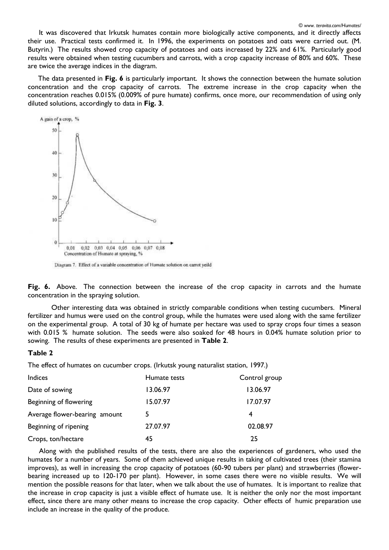It was discovered that Irkutsk humates contain more biologically active components, and it directly affects their use. Practical tests confirmed it. In 1996, the experiments on potatoes and oats were carried out. (M. Butyrin.) The results showed crop capacity of potatoes and oats increased by 22% and 61%. Particularly good results were obtained when testing cucumbers and carrots, with a crop capacity increase of 80% and 60%. These are twice the average indices in the diagram.

 The data presented in **Fig. 6** is particularly important. It shows the connection between the humate solution concentration and the crop capacity of carrots. The extreme increase in the crop capacity when the concentration reaches 0.015% (0.009% of pure humate) confirms, once more, our recommendation of using only diluted solutions, accordingly to data in **Fig. 3**.



Diagram 7. Effect of a variable concentration of Humate solution on carrot yeild

**Fig. 6.** Above. The connection between the increase of the crop capacity in carrots and the humate concentration in the spraying solution.

Other interesting data was obtained in strictly comparable conditions when testing cucumbers. Mineral fertilizer and humus were used on the control group, while the humates were used along with the same fertilizer on the experimental group. A total of 30 kg of humate per hectare was used to spray crops four times a season with 0.015 % humate solution. The seeds were also soaked for 48 hours in 0.04% humate solution prior to sowing. The results of these experiments are presented in **Table 2**.

#### **Table 2**

The effect of humates on cucumber crops. (Irkutsk young naturalist station, 1997.)

| <b>Indices</b>                | Humate tests | Control group |
|-------------------------------|--------------|---------------|
| Date of sowing                | 13.06.97     | 13.06.97      |
| Beginning of flowering        | 15.07.97     | 17.07.97      |
| Average flower-bearing amount |              | 4             |
| Beginning of ripening         | 27.07.97     | 02.08.97      |
| Crops, ton/hectare            | 45           | 25            |

 Along with the published results of the tests, there are also the experiences of gardeners, who used the humates for a number of years. Some of them achieved unique results in taking of cultivated trees (their stamina improves), as well in increasing the crop capacity of potatoes (60-90 tubers per plant) and strawberries (flowerbearing increased up to 120-170 per plant). However, in some cases there were no visible results. We will mention the possible reasons for that later, when we talk about the use of humates. It is important to realize that the increase in crop capacity is just a visible effect of humate use. It is neither the only nor the most important effect, since there are many other means to increase the crop capacity. Other effects of humic preparation use include an increase in the quality of the produce.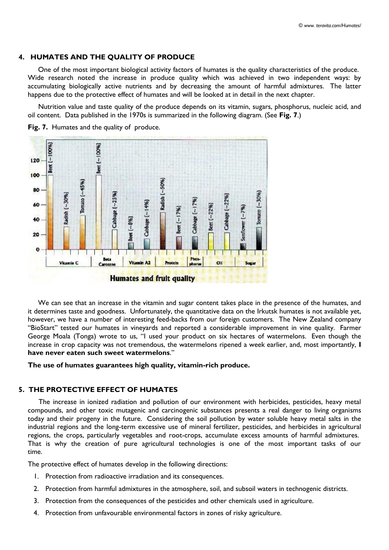### **4. HUMATES AND THE QUALITY OF PRODUCE**

 One of the most important biological activity factors of humates is the quality characteristics of the produce. Wide research noted the increase in produce quality which was achieved in two independent ways: by accumulating biologically active nutrients and by decreasing the amount of harmful admixtures. The latter happens due to the protective effect of humates and will be looked at in detail in the next chapter.

 Nutrition value and taste quality of the produce depends on its vitamin, sugars, phosphorus, nucleic acid, and oil content. Data published in the 1970s is summarized in the following diagram. (See **Fig. 7**.)



**Fig. 7.** Humates and the quality of produce.

 We can see that an increase in the vitamin and sugar content takes place in the presence of the humates, and it determines taste and goodness. Unfortunately, the quantitative data on the Irkutsk humates is not available yet, however, we have a number of interesting feed-backs from our foreign customers. The New Zealand company "BioStart" tested our humates in vineyards and reported a considerable improvement in vine quality. Farmer George Moala (Tonga) wrote to us, "I used your product on six hectares of watermelons. Even though the increase in crop capacity was not tremendous, the watermelons ripened a week earlier, and, most importantly, **I have never eaten such sweet watermelons**."

**The use of humates guarantees high quality, vitamin-rich produce.**

### **5. THE PROTECTIVE EFFECT OF HUMATES**

 The increase in ionized radiation and pollution of our environment with herbicides, pesticides, heavy metal compounds, and other toxic mutagenic and carcinogenic substances presents a real danger to living organisms today and their progeny in the future. Considering the soil pollution by water soluble heavy metal salts in the industrial regions and the long-term excessive use of mineral fertilizer, pesticides, and herbicides in agricultural regions, the crops, particularly vegetables and root-crops, accumulate excess amounts of harmful admixtures. That is why the creation of pure agricultural technologies is one of the most important tasks of our time.

The protective effect of humates develop in the following directions:

- 1. Protection from radioactive irradiation and its consequences.
- 2. Protection from harmful admixtures in the atmosphere, soil, and subsoil waters in technogenic districts.
- 3. Protection from the consequences of the pesticides and other chemicals used in agriculture.
- 4. Protection from unfavourable environmental factors in zones of risky agriculture.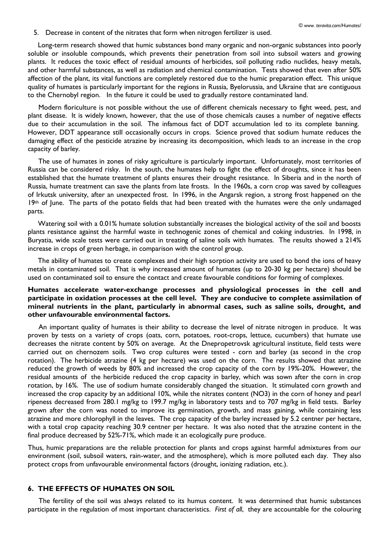5. Decrease in content of the nitrates that form when nitrogen fertilizer is used.

 Long-term research showed that humic substances bond many organic and non-organic substances into poorly soluble or insoluble compounds, which prevents their penetration from soil into subsoil waters and growing plants. It reduces the toxic effect of residual amounts of herbicides, soil polluting radio nuclides, heavy metals, and other harmful substances, as well as radiation and chemical contamination. Tests showed that even after 50% affection of the plant, its vital functions are completely restored due to the humic preparation effect. This unique quality of humates is particularly important for the regions in Russia, Byelorussia, and Ukraine that are contiguous to the Chernobyl region. In the future it could be used to gradually restore contaminated land.

 Modern floriculture is not possible without the use of different chemicals necessary to fight weed, pest, and plant disease. It is widely known, however, that the use of those chemicals causes a number of negative effects due to their accumulation in the soil. The infamous fact of DDT accumulation led to its complete banning. However, DDT appearance still occasionally occurs in crops. Science proved that sodium humate reduces the damaging effect of the pesticide atrazine by increasing its decomposition, which leads to an increase in the crop capacity of barley.

 The use of humates in zones of risky agriculture is particularly important. Unfortunately, most territories of Russia can be considered risky. In the south, the humates help to fight the effect of droughts, since it has been established that the humate treatment of plants ensures their drought resistance. In Siberia and in the north of Russia, humate treatment can save the plants from late frosts. In the 1960s, a corn crop was saved by colleagues of Irkutsk university, after an unexpected frost. In 1996, in the Angarsk region, a strong frost happened on the 19th of June. The parts of the potato fields that had been treated with the humates were the only undamaged parts.

 Watering soil with a 0.01% humate solution substantially increases the biological activity of the soil and boosts plants resistance against the harmful waste in technogenic zones of chemical and coking industries. In 1998, in Buryatia, wide scale tests were carried out in treating of saline soils with humates. The results showed a 214% increase in crops of green herbage, in comparison with the control group.

 The ability of humates to create complexes and their high sorption activity are used to bond the ions of heavy metals in contaminated soil. That is why increased amount of humates (up to 20-30 kg per hectare) should be used on contaminated soil to ensure the contact and create favourable conditions for forming of complexes.

### **Humates accelerate water-exchange processes and physiological processes in the cell and participate in oxidation processes at the cell level. They are conducive to complete assimilation of mineral nutrients in the plant, particularly in abnormal cases, such as saline soils, drought, and other unfavourable environmental factors.**

 An important quality of humates is their ability to decrease the level of nitrate nitrogen in produce. It was proven by tests on a variety of crops (oats, corn, potatoes, root-crops, lettuce, cucumbers) that humate use decreases the nitrate content by 50% on average. At the Dnepropetrovsk agricultural institute, field tests were carried out on chernozem soils. Two crop cultures were tested - corn and barley (as second in the crop rotation). The herbicide atrazine (4 kg per hectare) was used on the corn. The results showed that atrazine reduced the growth of weeds by 80% and increased the crop capacity of the corn by 19%-20%. However, the residual amounts of the herbicide reduced the crop capacity in barley, which was sown after the corn in crop rotation, by 16%. The use of sodium humate considerably changed the situation. It stimulated corn growth and increased the crop capacity by an additional 10%, while the nitrates content (NO3) in the corn of honey and pearl ripeness decreased from 280.1 mg/kg to 199.7 mg/kg in laboratory tests and to 707 mg/kg in field tests. Barley grown after the corn was noted to improve its germination, growth, and mass gaining, while containing less atrazine and more chlorophyll in the leaves. The crop capacity of the barley increased by 5.2 centner per hectare, with a total crop capacity reaching 30.9 centner per hectare. It was also noted that the atrazine content in the final produce decreased by 52%-71%, which made it an ecologically pure produce.

Thus, humic preparations are the reliable protection for plants and crops against harmful admixtures from our environment (soil, subsoil waters, rain-water, and the atmosphere), which is more polluted each day. They also protect crops from unfavourable environmental factors (drought, ionizing radiation, etc.).

### **6. THE EFFECTS OF HUMATES ON SOIL**

 The fertility of the soil was always related to its humus content. It was determined that humic substances participate in the regulation of most important characteristics. *First of all*, they are accountable for the colouring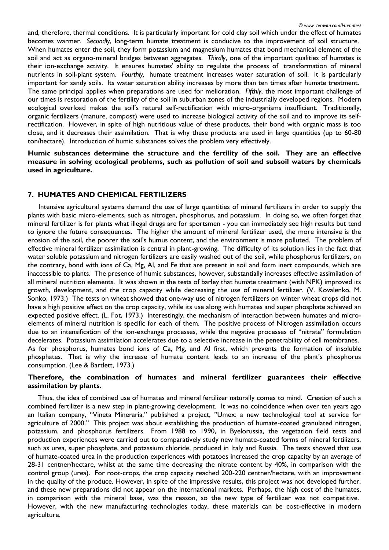and, therefore, thermal conditions. It is particularly important for cold clay soil which under the effect of humates becomes warmer. *Secondly*, long-term humate treatment is conducive to the improvement of soil structure. When humates enter the soil, they form potassium and magnesium humates that bond mechanical element of the soil and act as organo-mineral bridges between aggregates. *Thirdly*, one of the important qualities of humates is their ion-exchange activity. It ensures humates' ability to regulate the process of transformation of mineral nutrients in soil-plant system. *Fourthly,* humate treatment increases water saturation of soil. It is particularly important for sandy soils. Its water saturation ability increases by more than ten times after humate treatment. The same principal applies when preparations are used for melioration. *Fifthly*, the most important challenge of our times is restoration of the fertility of the soil in suburban zones of the industrially developed regions. Modern ecological overload makes the soil's natural self-rectification with micro-organisms insufficient. Traditionally, organic fertilizers (manure, compost) were used to increase biological activity of the soil and to improve its selfrectification. However, in spite of high nutritious value of these products, their bond with organic mass is too close, and it decreases their assimilation. That is why these products are used in large quantities (up to 60-80 ton/hectare). Introduction of humic substances solves the problem very effectively.

**Humic substances determine the structure and the fertility of the soil. They are an effective measure in solving ecological problems, such as pollution of soil and subsoil waters by chemicals used in agriculture.**

# **7. HUMATES AND CHEMICAL FERTILIZERS**

consumption. (Lee & Bartlett, 1973.)

 Intensive agricultural systems demand the use of large quantities of mineral fertilizers in order to supply the plants with basic micro-elements, such as nitrogen, phosphorus, and potassium. In doing so, we often forget that mineral fertilizer is for plants what illegal drugs are for sportsmen - you can immediately see high results but tend to ignore the future consequences. The higher the amount of mineral fertilizer used, the more intensive is the erosion of the soil, the poorer the soil's humus content, and the environment is more polluted. The problem of effective mineral fertilizer assimilation is central in plant-growing. The difficulty of its solution lies in the fact that water soluble potassium and nitrogen fertilizers are easily washed out of the soil, while phosphorus fertilizers, on the contrary, bond with ions of Ca, Mg, Al, and Fe that are present in soil and form inert compounds, which are inaccessible to plants. The presence of humic substances, however, substantially increases effective assimilation of all mineral nutrition elements. It was shown in the tests of barley that humate treatment (with NPK) improved its growth, development, and the crop capacity while decreasing the use of mineral fertilizer. (V. Kovalenko, M. Sonko, 1973.) The tests on wheat showed that one-way use of nitrogen fertilizers on winter wheat crops did not have a high positive effect on the crop capacity, while its use along with humates and super phosphate achieved an expected positive effect. (L. Fot, 1973.) Interestingly, the mechanism of interaction between humates and microelements of mineral nutrition is specific for each of them. The positive process of Nitrogen assimilation occurs due to an intensification of the ion-exchange processes, while the negative processes of "nitrate" formulation decelerates. Potassium assimilation accelerates due to a selective increase in the penetrability of cell membranes. As for phosphorus, humates bond ions of Ca, Mg, and Al first, which prevents the formation of insoluble phosphates. That is why the increase of humate content leads to an increase of the plant's phosphorus

# **Therefore, the combination of humates and mineral fertilizer guarantees their effective assimilation by plants.**

 Thus, the idea of combined use of humates and mineral fertilizer naturally comes to mind. Creation of such a combined fertilizer is a new step in plant-growing development. It was no coincidence when over ten years ago an Italian company, "Vineta Mineraria," published a project, "Umex: a new technological tool at service for agriculture of 2000." This project was about establishing the production of humate-coated granulated nitrogen, potassium, and phosphorus fertilizers. From 1988 to 1990, in Byelorussia, the vegetation field tests and production experiences were carried out to comparatively study new humate-coated forms of mineral fertilizers, such as urea, super phosphate, and potassium chloride, produced in Italy and Russia. The tests showed that use of humate-coated urea in the production experiences with potatoes increased the crop capacity by an average of 28-31 centner/hectare, whilst at the same time decreasing the nitrate content by 40%, in comparison with the control group (urea). For root-crops, the crop capacity reached 200-220 centner/hectare, with an improvement in the quality of the produce. However, in spite of the impressive results, this project was not developed further, and these new preparations did not appear on the international markets. Perhaps, the high cost of the humates, in comparison with the mineral base, was the reason, so the new type of fertilizer was not competitive. However, with the new manufacturing technologies today, these materials can be cost-effective in modern agriculture.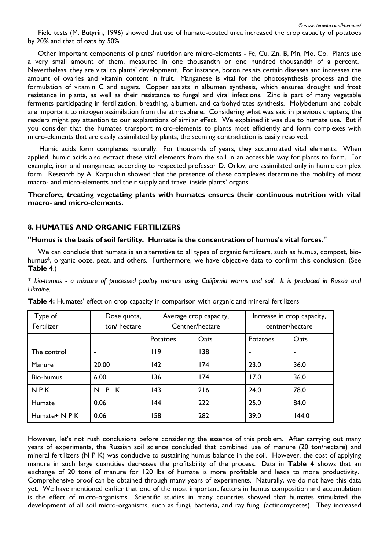Other important components of plants' nutrition are micro-elements - Fe, Cu, Zn, B, Mn, Mo, Co. Plants use a very small amount of them, measured in one thousandth or one hundred thousandth of a percent. Nevertheless, they are vital to plants' development. For instance, boron resists certain diseases and increases the amount of ovaries and vitamin content in fruit. Manganese is vital for the photosynthesis process and the formulation of vitamin C and sugars. Copper assists in albumen synthesis, which ensures drought and frost resistance in plants, as well as their resistance to fungal and viral infections. Zinc is part of many vegetable ferments participating in fertilization, breathing, albumen, and carbohydrates synthesis. Molybdenum and cobalt are important to nitrogen assimilation from the atmosphere. Considering what was said in previous chapters, the readers might pay attention to our explanations of similar effect. We explained it was due to humate use. But if you consider that the humates transport micro-elements to plants most efficiently and form complexes with micro-elements that are easily assimilated by plants, the seeming contradiction is easily resolved.

 Humic acids form complexes naturally. For thousands of years, they accumulated vital elements. When applied, humic acids also extract these vital elements from the soil in an accessible way for plants to form. For example, iron and manganese, according to respected professor D. Orlov, are assimilated only in humic complex form. Research by A. Karpukhin showed that the presence of these complexes determine the mobility of most macro- and micro-elements and their supply and travel inside plants' organs.

**Therefore, treating vegetating plants with humates ensures their continuous nutrition with vital macro- and micro-elements.**

# **8. HUMATES AND ORGANIC FERTILIZERS**

# **"Humus is the basis of soil fertility. Humate is the concentration of humus's vital forces."**

 We can conclude that humate is an alternative to all types of organic fertilizers, such as humus, compost, biohumus\*, organic ooze, peat, and others. Furthermore, we have objective data to confirm this conclusion. (See **Table 4**.)

*\* bio-humus - a mixture of processed poultry manure using California worms and soil. It is produced in Russia and Ukraine.* 

| Type of       | Dose quota,    | Average crop capacity, |      | Increase in crop capacity, |       |
|---------------|----------------|------------------------|------|----------------------------|-------|
| Fertilizer    | ton/hectare    | Centner/hectare        |      | centner/hectare            |       |
|               |                | <b>Potatoes</b>        | Oats | Potatoes                   | Oats  |
| The control   | $\blacksquare$ | 9                      | 138  | ٠                          |       |
| Manure        | 20.00          | 42                     | 174  | 23.0                       | 36.0  |
| Bio-humus     | 6.00           | 36                     | 174  | 17.0                       | 36.0  |
| NPK           | P K<br>N       | 43                     | 216  | 24.0                       | 78.0  |
| Humate        | 0.06           | 44                     | 222  | 25.0                       | 84.0  |
| Humate+ N P K | 0.06           | 58                     | 282  | 39.0                       | 144.0 |

**Table 4:** Humates' effect on crop capacity in comparison with organic and mineral fertilizers

However, let's not rush conclusions before considering the essence of this problem. After carrying out many years of experiments, the Russian soil science concluded that combined use of manure (20 ton/hectare) and mineral fertilizers (N P K) was conducive to sustaining humus balance in the soil. However, the cost of applying manure in such large quantities decreases the profitability of the process. Data in **Table 4** shows that an exchange of 20 tons of manure for 120 lbs of humate is more profitable and leads to more productivity. Comprehensive proof can be obtained through many years of experiments. Naturally, we do not have this data yet. We have mentioned earlier that one of the most important factors in humus composition and accumulation is the effect of micro-organisms. Scientific studies in many countries showed that humates stimulated the development of all soil micro-organisms, such as fungi, bacteria, and ray fungi (actinomycetes). They increased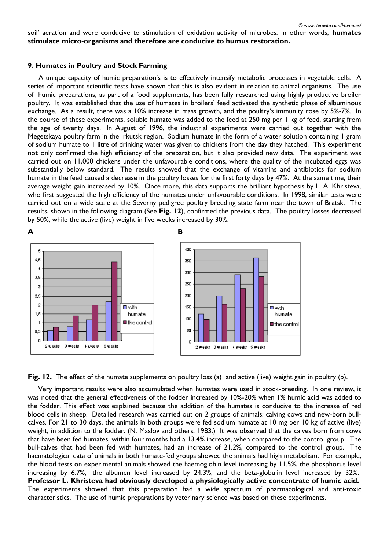soil' aeration and were conducive to stimulation of oxidation activity of microbes. In other words, **humates stimulate micro-organisms and therefore are conducive to humus restoration.** 

#### **9. Humates in Poultry and Stock Farming**

 A unique capacity of humic preparation's is to effectively intensify metabolic processes in vegetable cells. A series of important scientific tests have shown that this is also evident in relation to animal organisms. The use of humic preparations, as part of a food supplements, has been fully researched using highly productive broiler poultry. It was established that the use of humates in broilers' feed activated the synthetic phase of albuminous exchange. As a result, there was a 10% increase in mass growth, and the poultry's immunity rose by 5%-7%. In the course of these experiments, soluble humate was added to the feed at 250 mg per 1 kg of feed, starting from the age of twenty days. In August of 1996, the industrial experiments were carried out together with the Megetskaya poultry farm in the Irkutsk region. Sodium humate in the form of a water solution containing 1 gram of sodium humate to 1 litre of drinking water was given to chickens from the day they hatched. This experiment not only confirmed the high efficiency of the preparation, but it also provided new data. The experiment was carried out on 11,000 chickens under the unfavourable conditions, where the quality of the incubated eggs was substantially below standard. The results showed that the exchange of vitamins and antibiotics for sodium humate in the feed caused a decrease in the poultry losses for the first forty days by 47%. At the same time, their average weight gain increased by 10%. Once more, this data supports the brilliant hypothesis by L. A. Khristeva, who first suggested the high efficiency of the humates under unfavourable conditions. In 1998, similar tests were carried out on a wide scale at the Severny pedigree poultry breeding state farm near the town of Bratsk. The results, shown in the following diagram (See **Fig. 12**), confirmed the previous data. The poultry losses decreased by 50%, while the active (live) weight in five weeks increased by 30%.





 Very important results were also accumulated when humates were used in stock-breeding. In one review, it was noted that the general effectiveness of the fodder increased by 10%-20% when 1% humic acid was added to the fodder. This effect was explained because the addition of the humates is conducive to the increase of red blood cells in sheep. Detailed research was carried out on 2 groups of animals: calving cows and new-born bullcalves. For 21 to 30 days, the animals in both groups were fed sodium humate at 10 mg per 10 kg of active (live) weight, in addition to the fodder. (N. Maslov and others, 1983.) It was observed that the calves born from cows that have been fed humates, within four months had a 13.4% increase, when compared to the control group. The bull-calves that had been fed with humates, had an increase of 21.2%, compared to the control group. The haematological data of animals in both humate-fed groups showed the animals had high metabolism. For example, the blood tests on experimental animals showed the haemoglobin level increasing by 11.5%, the phosphorus level increasing by 6.7%, the albumen level increased by 24.3%, and the beta-globulin level increased by 32%. **Professor L. Khristeva had obviously developed a physiologically active concentrate of humic acid.** The experiments showed that this preparation had a wide spectrum of pharmacological and anti-toxic characteristics. The use of humic preparations by veterinary science was based on these experiments.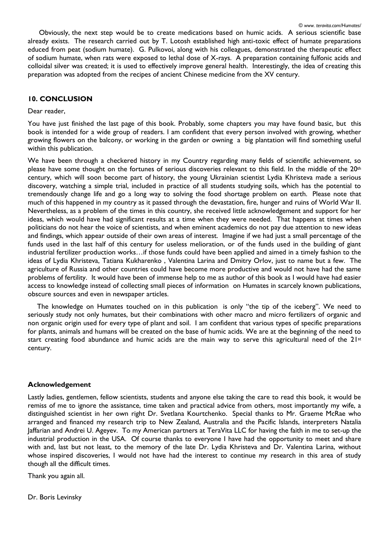Obviously, the next step would be to create medications based on humic acids. A serious scientific base already exists. The research carried out by T. Lotosh established high anti-toxic effect of humate preparations educed from peat (sodium humate). G. Pulkovoi, along with his colleagues, demonstrated the therapeutic effect of sodium humate, when rats were exposed to lethal dose of X-rays. A preparation containing fulfonic acids and colloidal silver was created; it is used to effectively improve general health. Interestingly, the idea of creating this preparation was adopted from the recipes of ancient Chinese medicine from the XV century.

### **10. CONCLUSION**

#### Dear reader,

You have just finished the last page of this book. Probably, some chapters you may have found basic, but this book is intended for a wide group of readers. I am confident that every person involved with growing, whether growing flowers on the balcony, or working in the garden or owning a big plantation will find something useful within this publication.

We have been through a checkered history in my Country regarding many fields of scientific achievement, so please have some thought on the fortunes of serious discoveries relevant to this field. In the middle of the 20<sup>th</sup> century, which will soon become part of history, the young Ukrainian scientist Lydia Khristeva made a serious discovery, watching a simple trial, included in practice of all students studying soils, which has the potential to tremendously change life and go a long way to solving the food shortage problem on earth. Please note that much of this happened in my country as it passed through the devastation, fire, hunger and ruins of World War II. Nevertheless, as a problem of the times in this country, she received little acknowledgement and support for her ideas, which would have had significant results at a time when they were needed. That happens at times when politicians do not hear the voice of scientists, and when eminent academics do not pay due attention to new ideas and findings, which appear outside of their own areas of interest. Imagine if we had just a small percentage of the funds used in the last half of this century for useless melioration, or of the funds used in the building of giant industrial fertilizer production works…if those funds could have been applied and aimed in a timely fashion to the ideas of Lydia Khristeva, Tatiana Kukharenko , Valentina Larina and Dmitry Orlov, just to name but a few. The agriculture of Russia and other countries could have become more productive and would not have had the same problems of fertility. It would have been of immense help to me as author of this book as I would have had easier access to knowledge instead of collecting small pieces of information on Humates in scarcely known publications, obscure sources and even in newspaper articles.

 The knowledge on Humates touched on in this publication is only "the tip of the iceberg". We need to seriously study not only humates, but their combinations with other macro and micro fertilizers of organic and non organic origin used for every type of plant and soil. I am confident that various types of specific preparations for plants, animals and humans will be created on the base of humic acids. We are at the beginning of the need to start creating food abundance and humic acids are the main way to serve this agricultural need of the  $21st$ century.

#### **Acknowledgement**

Lastly ladies, gentlemen, fellow scientists, students and anyone else taking the care to read this book, it would be remiss of me to ignore the assistance, time taken and practical advice from others, most importantly my wife, a distinguished scientist in her own right Dr. Svetlana Kourtchenko. Special thanks to Mr. Graeme McRae who arranged and financed my research trip to New Zealand, Australia and the Pacific Islands, interpreters Natalia Jaffarian and Andrei U. Ageyev. To my American partners at TeraVita LLC for having the faith in me to set-up the industrial production in the USA. Of course thanks to everyone I have had the opportunity to meet and share with and, last but not least, to the memory of the late Dr. Lydia Khristeva and Dr. Valentina Larina, without whose inspired discoveries, I would not have had the interest to continue my research in this area of study though all the difficult times.

Thank you again all.

Dr. Boris Levinsky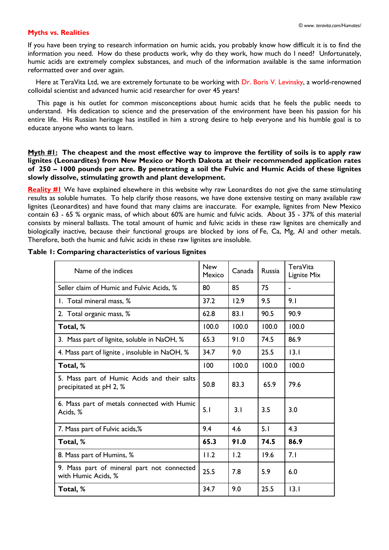### **Myths vs. Realities**

If you have been trying to research information on humic acids, you probably know how difficult it is to find the information you need. How do these products work, why do they work, how much do I need? Unfortunately, humic acids are extremely complex substances, and much of the information available is the same information reformatted over and over again.

Here at TeraVita Ltd, we are extremely fortunate to be working with Dr. Boris V. Levinsky, a world-renowned colloidal scientist and advanced humic acid researcher for over 45 years!

 This page is his outlet for common misconceptions about humic acids that he feels the public needs to understand. His dedication to science and the preservation of the environment have been his passion for his entire life. His Russian heritage has instilled in him a strong desire to help everyone and his humble goal is to educate anyone who wants to learn.

**Myth #1: The cheapest and the most effective way to improve the fertility of soils is to apply raw lignites (Leonardites) from New Mexico or North Dakota at their recommended application rates of 250 – 1000 pounds per acre. By penetrating a soil the Fulvic and Humic Acids of these lignites slowly dissolve, stimulating growth and plant development.**

**[Reality #1](http://www.teravita.com/Realities/Reality%201.htm)** We have explained elsewhere in this website why raw Leonardites do not give the same stimulating results as soluble humates. To help clarify those reasons, we have done extensive testing on many available raw lignites (Leonardites) and have found that many claims are inaccurate. For example, lignites from New Mexico contain 63 - 65 % organic mass, of which about 60% are humic and fulvic acids. About 35 - 37% of this material consists by mineral ballasts. The total amount of humic and fulvic acids in these raw lignites are chemically and biologically inactive, because their functional groups are blocked by ions of Fe, Ca, Mg, Al and other metals. Therefore, both the humic and fulvic acids in these raw lignites are insoluble.

| Name of the indices                                                    | <b>New</b><br>Mexico | Canada | <b>Russia</b> | TeraVita<br>Lignite Mix |
|------------------------------------------------------------------------|----------------------|--------|---------------|-------------------------|
| Seller claim of Humic and Fulvic Acids, %                              | 80                   | 85     | 75            | $\blacksquare$          |
| 1. Total mineral mass, %                                               | 37.2                 | 12.9   | 9.5           | 9.1                     |
| 2. Total organic mass, %                                               | 62.8                 | 83.1   | 90.5          | 90.9                    |
| Total, %                                                               | 100.0                | 100.0  | 100.0         | 100.0                   |
| 3. Mass part of lignite, soluble in NaOH, %                            | 65.3                 | 91.0   | 74.5          | 86.9                    |
| 4. Mass part of lignite, insoluble in NaOH, %                          | 34.7                 | 9.0    | 25.5          | 3.1                     |
| Total, %                                                               | 100                  | 100.0  | 100.0         | 100.0                   |
| 5. Mass part of Humic Acids and their salts<br>precipitated at pH 2, % | 50.8                 | 83.3   | 65.9          | 79.6                    |
| 6. Mass part of metals connected with Humic<br>Acids, %                | 5.1                  | 3.1    | 3.5           | 3.0                     |
| 7. Mass part of Fulvic acids,%                                         | 9.4                  | 4.6    | 5.1           | 4.3                     |
| Total, %                                                               | 65.3                 | 91.0   | 74.5          | 86.9                    |
| 8. Mass part of Humins, %                                              | 11.2                 | 1.2    | 19.6          | 7.1                     |
| 9. Mass part of mineral part not connected<br>with Humic Acids, %      | 25.5                 | 7.8    | 5.9           | 6.0                     |
| Total, %                                                               | 34.7                 | 9.0    | 25.5          | 13.1                    |

### **Table 1: Comparing characteristics of various lignites**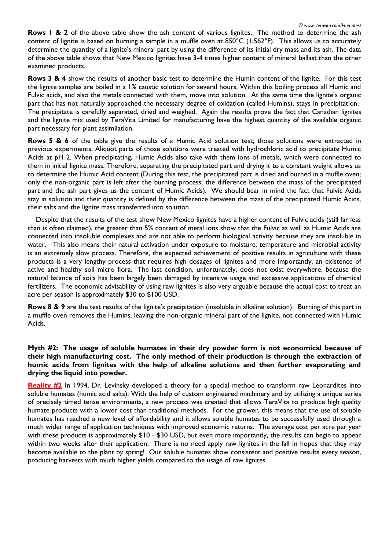**Rows 1 & 2** of the above table show the ash content of various lignites. The method to determine the ash content of lignite is based on burning a sample in a muffle oven at 850°C (1,562°F). This allows us to accurately determine the quantity of a lignite's mineral part by using the difference of its initial dry mass and its ash. The data of the above table shows that New Mexico lignites have 3-4 times higher content of mineral ballast than the other examined products.

**Rows 3 & 4** show the results of another basic test to determine the Humin content of the lignite. For this test the lignite samples are boiled in a 1% caustic solution for several hours. Within this boiling process all Humic and Fulvic acids, and also the metals connected with them, move into solution. At the same time the lignite's organic part that has not naturally approached the necessary degree of oxidation (called Humins), stays in precipitation. The precipitate is carefully separated, dried and weighed. Again the results prove the fact that Canadian lignites and the lignite mix used by TeraVita Limited for manufacturing have the highest quantity of the available organic part necessary for plant assimilation.

**Rows 5 & 6** of the table give the results of a Humic Acid solution test; those solutions were extracted in previous experiments. Aliquot parts of those solutions were treated with hydrochloric acid to precipitate Humic Acids at pH 2. When precipitating, Humic Acids also take with them ions of metals, which were connected to them in initial lignite mass. Therefore, separating the precipitated part and drying it to a constant weight allows us to determine the Humic Acid content (During this test, the precipitated part is dried and burned in a muffle oven; only the non-organic part is left after the burning process; the difference between the mass of the precipitated part and the ash part gives us the content of Humic Acids). We should bear in mind the fact that Fulvic Acids stay in solution and their quantity is defined by the difference between the mass of the precipitated Humic Acids, their salts and the lignite mass transferred into solution.

 Despite that the results of the test show New Mexico lignites have a higher content of Fulvic acids (still far less than is often claimed), the greater than 5% content of metal ions show that the Fulvic as well as Humic Acids are connected into insoluble complexes and are not able to perform biological activity because they are insoluble in water. This also means their natural activation under exposure to moisture, temperature and microbial activity is an extremely slow process. Therefore, the expected achievement of positive results in agriculture with these products is a very lengthy process that requires high dosages of lignites and more importantly, an existence of active and healthy soil micro flora. The last condition, unfortunately, does not exist everywhere, because the natural balance of soils has been largely been damaged by intensive usage and excessive applications of chemical fertilizers. The economic advisability of using raw lignites is also very arguable because the actual cost to treat an acre per season is approximately \$30 to \$100 USD.

**Rows 8 & 9** are the test results of the lignite's precipitation (insoluble in alkaline solution). Burning of this part in a muffle oven removes the Humins, leaving the non-organic mineral part of the lignite, not connected with Humic Acids.

# **Myth #2: The usage of soluble humates in their dry powder form is not economical because of their high manufacturing cost. The only method of their production is through the extraction of humic acids from lignites with the help of alkaline solutions and then further evaporating and drying the liquid into powder.**

**[Reality #2](http://www.teravita.com/Realities/Reality%202.htm)** In 1994, Dr. Levinsky developed a theory for a special method to transform raw Leonardites into soluble humates (humic acid salts). With the help of custom engineered machinery and by utilizing a unique series of precisely timed tense environments, a new process was created that allows TeraVita to produce high quality humate products with a lower cost than traditional methods. For the grower, this means that the use of soluble humates has reached a new level of affordability and it allows soluble humates to be successfully used through a much wider range of application techniques with improved economic returns. The average cost per acre per year with these products is approximately  $$10 - $30$  USD, but even more importantly, the results can begin to appear within two weeks after their application. There is no need apply raw lignites in the fall in hopes that they may become available to the plant by spring! Our soluble humates show consistent and positive results every season, producing harvests with much higher yields compared to the usage of raw lignites.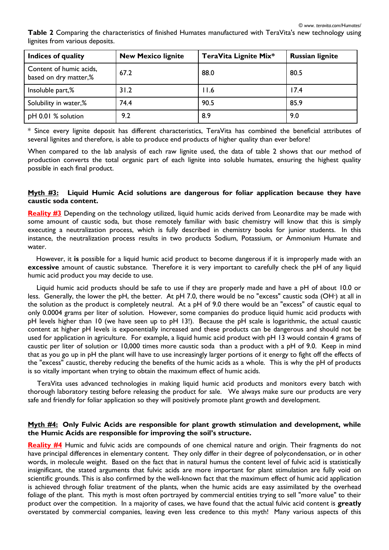**Table 2** Comparing the characteristics of finished Humates manufactured with TeraVita's new technology using lignites from various deposits.

| Indices of quality                               | <b>New Mexico lignite</b> | TeraVita Lignite Mix* | <b>Russian lignite</b> |
|--------------------------------------------------|---------------------------|-----------------------|------------------------|
| Content of humic acids,<br>based on dry matter,% | 67.2                      | 88.0                  | 80.5                   |
| Insoluble part,%                                 | 31.2                      | 11.6                  | 17.4                   |
| Solubility in water,%                            | 74.4                      | 90.5                  | 85.9                   |
| pH 0.01 % solution                               | 9.2                       | 8.9                   | 9.0                    |

\* Since every lignite deposit has different characteristics, TeraVita has combined the beneficial attributes of several lignites and therefore, is able to produce end products of higher quality than ever before!

When compared to the lab analysis of each raw lignite used, the data of table 2 shows that our method of production converts the total organic part of each lignite into soluble humates, ensuring the highest quality possible in each final product.

### **Myth #3: Liquid Humic Acid solutions are dangerous for foliar application because they have caustic soda content.**

**[Reality #3](http://www.teravita.com/Realities/Reality%203.htm)** Depending on the technology utilized, liquid humic acids derived from Leonardite may be made with some amount of caustic soda, but those remotely familiar with basic chemistry will know that this is simply executing a neutralization process, which is fully described in chemistry books for junior students. In this instance, the neutralization process results in two products Sodium, Potassium, or Ammonium Humate and water.

 However, it **is** possible for a liquid humic acid product to become dangerous if it is improperly made with an **excessive** amount of caustic substance. Therefore it is very important to carefully check the pH of any liquid humic acid product you may decide to use.

 Liquid humic acid products should be safe to use if they are properly made and have a pH of about 10.0 or less. Generally, the lower the pH, the better. At pH 7.0, there would be no "excess" caustic soda (OH**-**) at all in the solution as the product is completely neutral. At a pH of 9.0 there would be an "excess" of caustic equal to only 0.0004 grams per liter of solution. However, some companies do produce liquid humic acid products with pH levels higher than 10 (we have seen up to pH 13!). Because the pH scale is logarithmic, the actual caustic content at higher pH levels is exponentially increased and these products can be dangerous and should not be used for application in agriculture. For example, a liquid humic acid product with pH 13 would contain 4 grams of caustic per liter of solution or 10,000 times more caustic soda than a product with a pH of 9.0. Keep in mind that as you go up in pH the plant will have to use increasingly larger portions of it energy to fight off the effects of the "excess" caustic, thereby reducing the benefits of the humic acids as a whole. This is why the pH of products is so vitally important when trying to obtain the maximum effect of humic acids.

 TeraVita uses advanced technologies in making liquid humic acid products and monitors every batch with thorough laboratory testing before releasing the product for sale. We always make sure our products are very safe and friendly for foliar application so they will positively promote plant growth and development.

#### **Myth #4: Only Fulvic Acids are responsible for plant growth stimulation and development, while the Humic Acids are responsible for improving the soil's structure.**

**[Reality #4](http://www.teravita.com/Realities/Reality%204.htm)** Humic and fulvic acids are compounds of one chemical nature and origin. Their fragments do not have principal differences in elementary content. They only differ in their degree of polycondensation, or in other words, in molecule weight. Based on the fact that in natural humus the content level of fulvic acid is statistically insignificant, the stated arguments that fulvic acids are more important for plant stimulation are fully void on scientific grounds. This is also confirmed by the well-known fact that the maximum effect of humic acid application is achieved through foliar treatment of the plants, when the humic acids are easy assimilated by the overhead foliage of the plant. This myth is most often portrayed by commercial entities trying to sell "more value" to their product over the competition. In a majority of cases, we have found that the actual fulvic acid content is **greatly** overstated by commercial companies, leaving even less credence to this myth! Many various aspects of this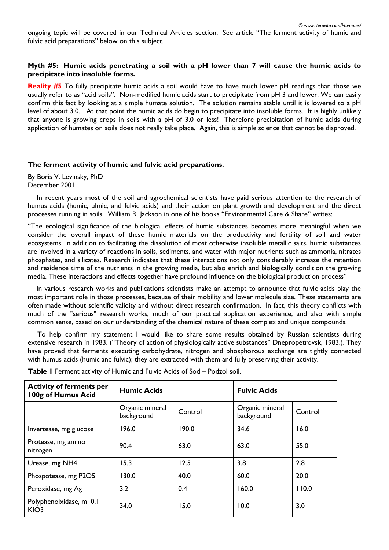ongoing topic will be covered in our Technical Articles section. See article "The ferment activity of humic and fulvic acid preparations" below on this subject.

### **Myth #5: Humic acids penetrating a soil with a pH lower than 7 will cause the humic acids to precipitate into insoluble forms.**

**[Reality #5](http://www.teravita.com/Realities/Reality%205.htm)** To fully precipitate humic acids a soil would have to have much lower pH readings than those we usually refer to as "acid soils". Non-modified humic acids start to precipitate from pH 3 and lower. We can easily confirm this fact by looking at a simple humate solution. The solution remains stable until it is lowered to a pH level of about 3.0. At that point the humic acids do begin to precipitate into insoluble forms. It is highly unlikely that anyone is growing crops in soils with a pH of 3.0 or less! Therefore precipitation of humic acids during application of humates on soils does not really take place. Again, this is simple science that cannot be disproved.

### **The ferment activity of humic and fulvic acid preparations.**

By Boris V. Levinsky, PhD December 2001

 In recent years most of the soil and agrochemical scientists have paid serious attention to the research of humus acids (humic, ulmic, and fulvic acids) and their action on plant growth and development and the direct processes running in soils. William R. Jackson in one of his books "Environmental Care & Share" writes:

"The ecological significance of the biological effects of humic substances becomes more meaningful when we consider the overall impact of these humic materials on the productivity and fertility of soil and water ecosystems. In addition to facilitating the dissolution of most otherwise insoluble metallic salts, humic substances are involved in a variety of reactions in soils, sediments, and water with major nutrients such as ammonia, nitrates phosphates, and silicates. Research indicates that these interactions not only considerably increase the retention and residence time of the nutrients in the growing media, but also enrich and biologically condition the growing media. These interactions and effects together have profound influence on the biological production process"

 In various research works and publications scientists make an attempt to announce that fulvic acids play the most important role in those processes, because of their mobility and lower molecule size. These statements are often made without scientific validity and without direct research confirmation. In fact, this theory conflicts with much of the "serious" research works, much of our practical application experience, and also with simple common sense, based on our understanding of the chemical nature of these complex and unique compounds.

 To help confirm my statement I would like to share some results obtained by Russian scientists during extensive research in 1983. ("Theory of action of physiologically active substances" Dnepropetrovsk, 1983.). They have proved that ferments executing carbohydrate, nitrogen and phosphorous exchange are tightly connected with humus acids (humic and fulvic); they are extracted with them and fully preserving their activity.

| <b>Activity of ferments per</b><br>100g of Humus Acid | <b>Humic Acids</b>            |         | <b>Fulvic Acids</b>           |         |  |
|-------------------------------------------------------|-------------------------------|---------|-------------------------------|---------|--|
|                                                       | Organic mineral<br>background | Control | Organic mineral<br>background | Control |  |
| Invertease, mg glucose                                | 196.0                         | 190.0   | 34.6                          | 16.0    |  |
| Protease, mg amino<br>nitrogen                        | 90.4                          | 63.0    | 63.0                          | 55.0    |  |
| Urease, mg NH4                                        | 15.3                          | 12.5    | 3.8                           | 2.8     |  |
| Phospotease, mg P2O5                                  | 130.0                         | 40.0    | 60.0                          | 20.0    |  |
| Peroxidase, mg Ag                                     | 3.2                           | 0.4     | 160.0                         | 110.0   |  |
| Polyphenolxidase, ml 0.1<br>KIO <sub>3</sub>          | 34.0                          | 15.0    | 10.0                          | 3.0     |  |

**Table 1** Ferment activity of Humic and Fulvic Acids of Sod – Podzol soil.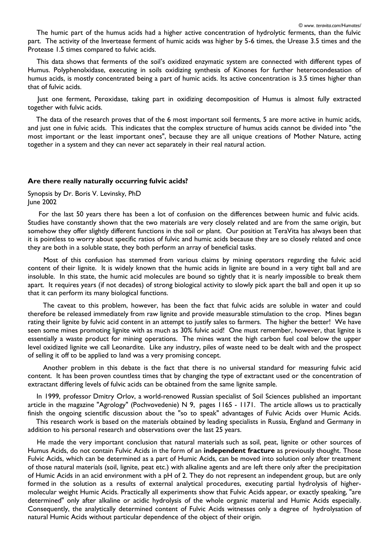The humic part of the humus acids had a higher active concentration of hydrolytic ferments, than the fulvic part. The activity of the Invertease ferment of humic acids was higher by 5-6 times, the Urease 3.5 times and the Protease 1.5 times compared to fulvic acids.

 This data shows that ferments of the soil's oxidized enzymatic system are connected with different types of Humus. Polyphenolxidase, executing in soils oxidizing synthesis of Kinones for further heterocondesation of humus acids, is mostly concentrated being a part of humic acids. Its active concentration is 3.5 times higher than that of fulvic acids.

 Just one ferment, Peroxidase, taking part in oxidizing decomposition of Humus is almost fully extracted together with fulvic acids.

 The data of the research proves that of the 6 most important soil ferments, 5 are more active in humic acids, and just one in fulvic acids. This indicates that the complex structure of humus acids cannot be divided into "the most important or the least important ones", because they are all unique creations of Mother Nature, acting together in a system and they can never act separately in their real natural action.

#### **Are there really naturally occurring fulvic acids?**

Synopsis by Dr. Boris V. Levinsky, PhD June 2002

 For the last 50 years there has been a lot of confusion on the differences between humic and fulvic acids. Studies have constantly shown that the two materials are very closely related and are from the same origin, but somehow they offer slightly different functions in the soil or plant. Our position at TeraVita has always been that it is pointless to worry about specific ratios of fulvic and humic acids because they are so closely related and once they are both in a soluble state, they both perform an array of beneficial tasks.

 Most of this confusion has stemmed from various claims by mining operators regarding the fulvic acid content of their lignite. It is widely known that the humic acids in lignite are bound in a very tight ball and are insoluble. In this state, the humic acid molecules are bound so tightly that it is nearly impossible to break them apart. It requires years (if not decades) of strong biological activity to slowly pick apart the ball and open it up so that it can perform its many biological functions.

 The caveat to this problem, however, has been the fact that fulvic acids are soluble in water and could therefore be released immediately from raw lignite and provide measurable stimulation to the crop. Mines began rating their lignite by fulvic acid content in an attempt to justify sales to farmers. The higher the better! We have seen some mines promoting lignite with as much as 30% fulvic acid! One must remember, however, that lignite is essentially a waste product for mining operations. The mines want the high carbon fuel coal below the upper level oxidized lignite we call Leonardite. Like any industry, piles of waste need to be dealt with and the prospect of selling it off to be applied to land was a very promising concept.

 Another problem in this debate is the fact that there is no universal standard for measuring fulvic acid content. It has been proven countless times that by changing the type of extractant used or the concentration of extractant differing levels of fulvic acids can be obtained from the same lignite sample.

 In 1999, professor Dmitry Orlov, a world-renowed Russian specialist of Soil Sciences published an important article in the magazine "Agrology" (Pochvovedenie) N 9, pages 1165 - 1171. The article allows us to practically finish the ongoing scientific discussion about the "so to speak" advantages of Fulvic Acids over Humic Acids.

 This research work is based on the materials obtained by leading specialists in Russia, England and Germany in addition to his personal research and observations over the last 25 years.

 He made the very important conclusion that natural materials such as soil, peat, lignite or other sources of Humus Acids, do not contain Fulvic Acids in the form of an **independent fracture** as previously thought. Those Fulvic Acids, which can be determined as a part of Humic Acids, can be moved into solution only after treatment of those natural materials (soil, lignite, peat etc.) with alkaline agents and are left there only after the precipitation of Humic Acids in an acid environment with a pH of 2. They do not represent an independent group, but are only formed in the solution as a results of external analytical procedures, executing partial hydrolysis of highermolecular weight Humic Acids. Practically all experiments show that Fulvic Acids appear, or exactly speaking, "are determined" only after alkaline or acidic hydrolysis of the whole organic material and Humic Acids especially. Consequently, the analytically determined content of Fulvic Acids witnesses only a degree of hydrolysation of natural Humic Acids without particular dependence of the object of their origin.